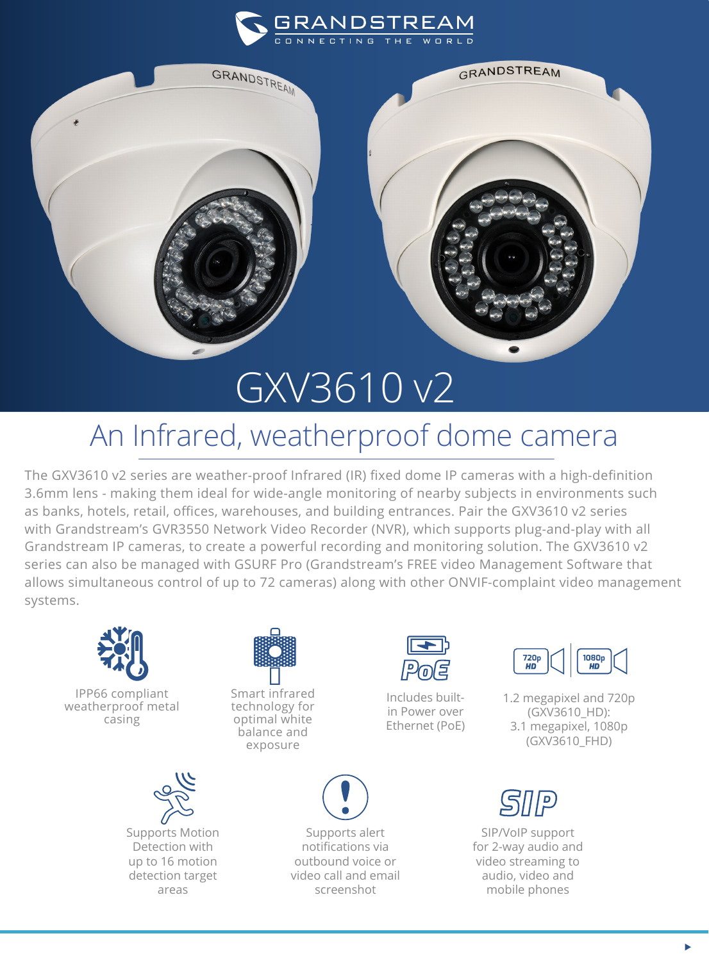



## GXV3610 v2

## An Infrared, weatherproof dome camera

The GXV3610 v2 series are weather-proof Infrared (IR) fixed dome IP cameras with a high-definition 3.6mm lens - making them ideal for wide-angle monitoring of nearby subjects in environments such as banks, hotels, retail, offices, warehouses, and building entrances. Pair the GXV3610 v2 series with Grandstream's GVR3550 Network Video Recorder (NVR), which supports plug-and-play with all Grandstream IP cameras, to create a powerful recording and monitoring solution. The GXV3610 v2 series can also be managed with GSURF Pro (Grandstream's FREE video Management Software that allows simultaneous control of up to 72 cameras) along with other ONVIF-complaint video management systems.



IPP66 compliant weatherproof metal casing





Smart infrared technology for optimal white balance and exposure



Supports alert notifications via outbound voice or video call and email screenshot



Includes builtin Power over Ethernet (PoE)



1.2 megapixel and 720p (GXV3610\_HD): 3.1 megapixel, 1080p (GXV3610\_FHD)



SIP/VoIP support for 2-way audio and video streaming to audio, video and mobile phones